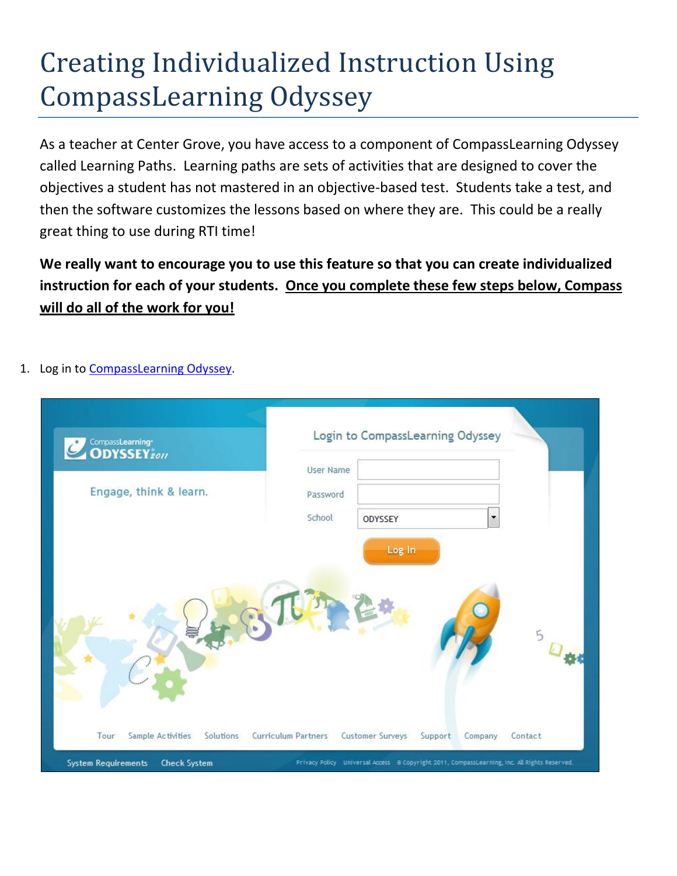## Creating Individualized Instruction Using CompassLearning Odyssey

As a teacher at Center Grove, you have access to a component of CompassLearning Odyssey called Learning Paths. Learning paths are sets of activities that are designed to cover the objectives a student has not mastered in an objective-based test. Students take a test, and then the software customizes the lessons based on where they are. This could be a really great thing to use during RTI time!

**We really want to encourage you to use this feature so that you can create individualized instruction for each of your students. Once you complete these few steps below, Compass will do all of the work for you!** 

1. Log in to [CompassLearning Odyssey.](http://compass.centergrove.k12.in.us/clologin.aspx)

| CompassLearning<br><b>ODYSSEY</b> 2011 |                  | Login to CompassLearning Odyssey |                          |  |
|----------------------------------------|------------------|----------------------------------|--------------------------|--|
|                                        | <b>User Name</b> |                                  |                          |  |
| Engage, think & learn.                 | Password         |                                  |                          |  |
|                                        | School           | ODYSSEY                          | $\overline{\phantom{a}}$ |  |
|                                        |                  |                                  |                          |  |
|                                        |                  |                                  |                          |  |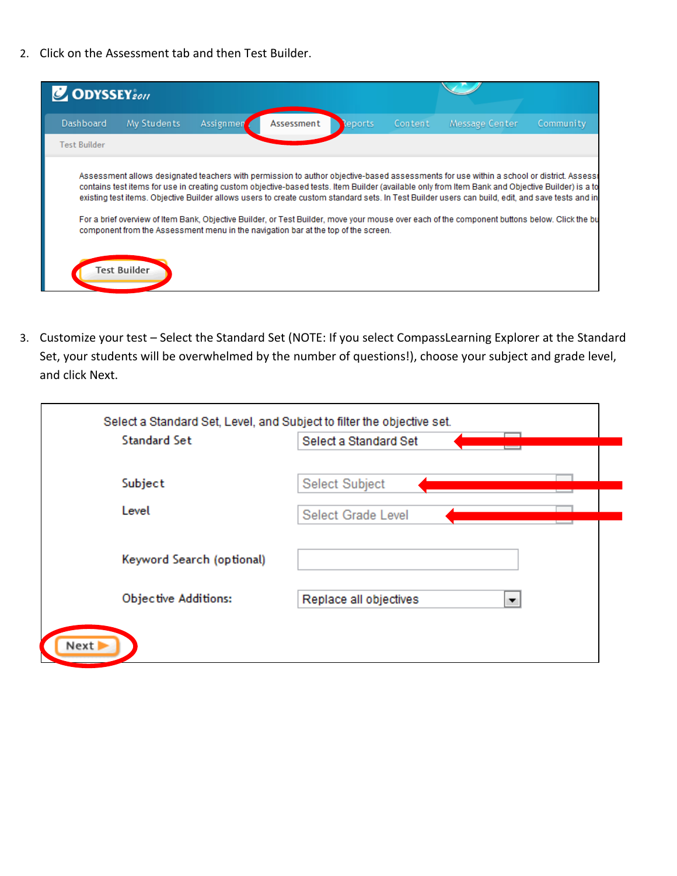2. Click on the Assessment tab and then Test Builder.

| <b>C</b> ODYSSEY <sub>2011</sub> |                                                                                                    |           |            |         |         |                                                                                                                                                                                                                                                                                                                                                                                                                                                                                                                                                                                                   |           |
|----------------------------------|----------------------------------------------------------------------------------------------------|-----------|------------|---------|---------|---------------------------------------------------------------------------------------------------------------------------------------------------------------------------------------------------------------------------------------------------------------------------------------------------------------------------------------------------------------------------------------------------------------------------------------------------------------------------------------------------------------------------------------------------------------------------------------------------|-----------|
| Dashboard                        | My Students                                                                                        | Assignmen | Assessment | Reports | Content | Message Center                                                                                                                                                                                                                                                                                                                                                                                                                                                                                                                                                                                    | Community |
| Test Builder                     |                                                                                                    |           |            |         |         |                                                                                                                                                                                                                                                                                                                                                                                                                                                                                                                                                                                                   |           |
|                                  | component from the Assessment menu in the navigation bar at the top of the screen.<br>Test Builder |           |            |         |         | Assessment allows designated teachers with permission to author objective-based assessments for use within a school or district. Assessr<br>contains test items for use in creating custom objective-based tests. Item Builder (available only from Item Bank and Objective Builder) is a to<br>existing test items. Objective Builder allows users to create custom standard sets. In Test Builder users can build, edit, and save tests and in<br>For a brief overview of Item Bank, Objective Builder, or Test Builder, move your mouse over each of the component buttons below. Click the bu |           |

3. Customize your test – Select the Standard Set (NOTE: If you select CompassLearning Explorer at the Standard Set, your students will be overwhelmed by the number of questions!), choose your subject and grade level, and click Next.

| <b>Standard Set</b>       | Select a Standard Set       |
|---------------------------|-----------------------------|
| Subject                   | Select Subject              |
| Level                     | Select Grade Level          |
| Keyword Search (optional) |                             |
| Objective Additions:      | Replace all objectives<br>▼ |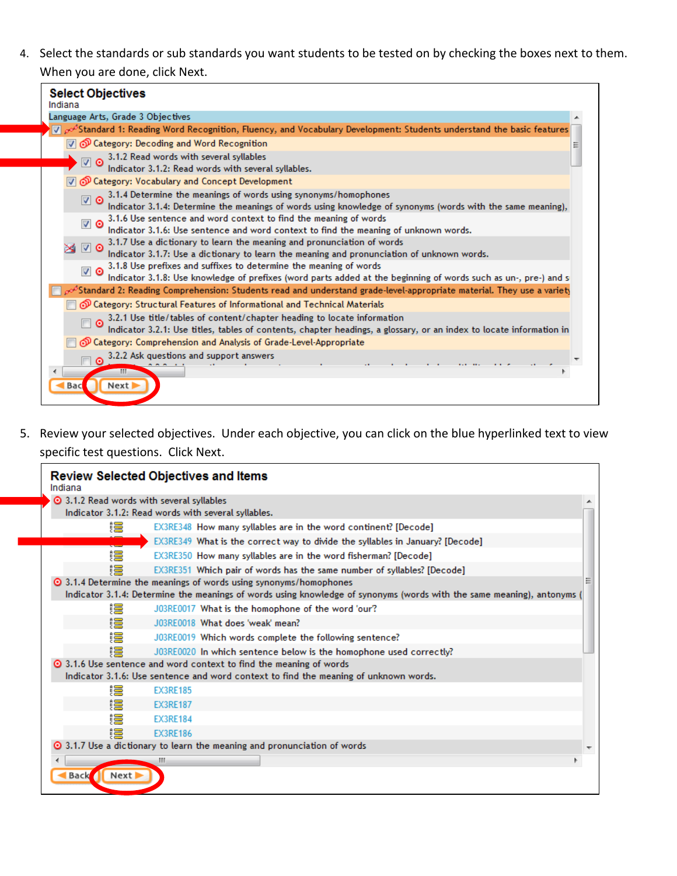4. Select the standards or sub standards you want students to be tested on by checking the boxes next to them. When you are done, click Next.

| <b>Select Objectives</b>                                                                                                                                        |
|-----------------------------------------------------------------------------------------------------------------------------------------------------------------|
| Indiana<br>Language Arts, Grade 3 Objectives                                                                                                                    |
| V od Standard 1: Reading Word Recognition, Fluency, and Vocabulary Development: Students understand the basic features                                          |
| $\mathbb{\nabla}$ $\mathcal{O}$ Category: Decoding and Word Recognition                                                                                         |
|                                                                                                                                                                 |
| 3.1.2 Read words with several syllables<br>Indicator 3.1.2: Read words with several syllables.<br>ত আ                                                           |
| Category: Vocabulary and Concept Development                                                                                                                    |
| 3.1.4 Determine the meanings of words using synonyms/homophones                                                                                                 |
| ত ⊽<br>Indicator 3.1.4: Determine the meanings of words using knowledge of synonyms (words with the same meaning),                                              |
| 3.1.6 Use sentence and word context to find the meaning of words<br>⊽ ⊙                                                                                         |
| Indicator 3.1.6: Use sentence and word context to find the meaning of unknown words.                                                                            |
| 3.1.7 Use a dictionary to learn the meaning and pronunciation of words<br>⊽ ⊙                                                                                   |
| Indicator 3.1.7: Use a dictionary to learn the meaning and pronunciation of unknown words.<br>3.1.8 Use prefixes and suffixes to determine the meaning of words |
| ⊽ ⊙<br>Indicator 3.1.8: Use knowledge of prefixes (word parts added at the beginning of words such as un-, pre-) and s                                          |
| $_{\wp}\circ^{\delta}$ Standard 2: Reading Comprehension: Students read and understand grade-level-appropriate material. They use a variety                     |
| Category: Structural Features of Informational and Technical Materials                                                                                          |
| 3.2.1 Use title/tables of content/chapter heading to locate information                                                                                         |
| Indicator 3.2.1: Use titles, tables of contents, chapter headings, a glossary, or an index to locate information in                                             |
| O Category: Comprehension and Analysis of Grade-Level-Appropriate                                                                                               |
| 3.2.2 Ask questions and support answers<br>$\odot$                                                                                                              |
|                                                                                                                                                                 |
| Next  <br>Bac                                                                                                                                                   |
|                                                                                                                                                                 |
|                                                                                                                                                                 |

5. Review your selected objectives. Under each objective, you can click on the blue hyperlinked text to view specific test questions. Click Next.

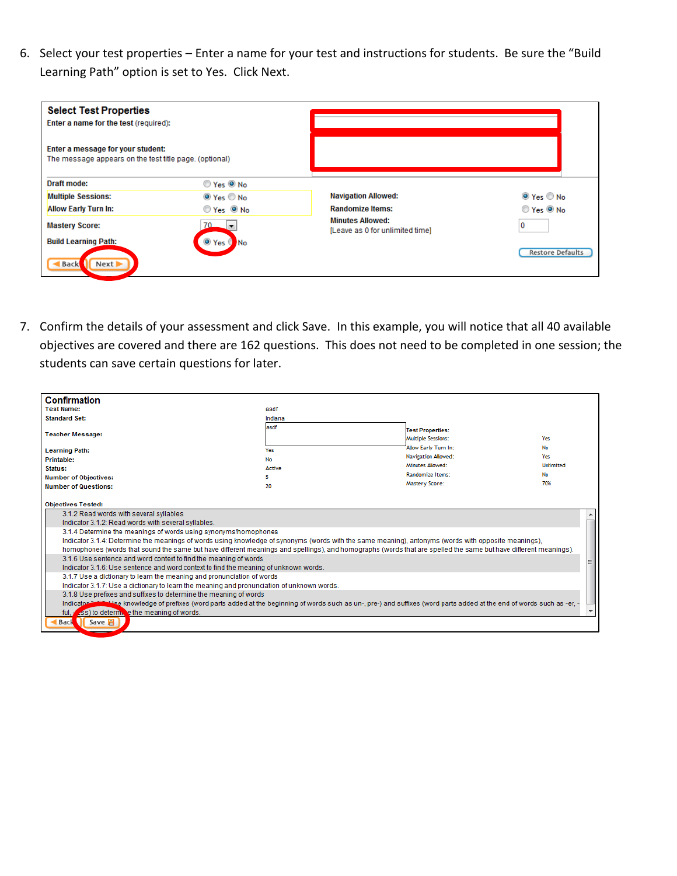6. Select your test properties – Enter a name for your test and instructions for students. Be sure the "Build Learning Path" option is set to Yes. Click Next.

| <b>Select Test Properties</b><br>Enter a name for the test (required):                      |                                    |                                                            |                         |
|---------------------------------------------------------------------------------------------|------------------------------------|------------------------------------------------------------|-------------------------|
| Enter a message for your student:<br>The message appears on the test title page. (optional) |                                    |                                                            |                         |
| Draft mode:                                                                                 | Yes ONo                            |                                                            |                         |
| <b>Multiple Sessions:</b>                                                                   | $\odot$ Yes $\odot$ No             | <b>Navigation Allowed:</b>                                 | $\odot$ Yes $\odot$ No  |
| <b>Allow Early Turn In:</b>                                                                 | Yes ONo                            | <b>Randomize Items:</b>                                    | Yes ONo                 |
| <b>Mastery Score:</b>                                                                       | 70.                                | <b>Minutes Allowed:</b><br>[Leave as 0 for unlimited time] | 0                       |
| <b>Build Learning Path:</b>                                                                 | Yes<br><b>No</b><br>$\circledcirc$ |                                                            |                         |
| Back<br>Next >                                                                              |                                    |                                                            | <b>Restore Defaults</b> |

7. Confirm the details of your assessment and click Save. In this example, you will notice that all 40 available objectives are covered and there are 162 questions. This does not need to be completed in one session; the students can save certain questions for later.

| <b>Confirmation</b><br><b>Test Name:</b><br>asdf<br><b>Standard Set:</b><br>Indiana<br>asdf<br><b>Test Properties:</b><br><b>Teacher Message:</b><br><b>Multiple Sessions:</b><br>Yes<br>Allow Early Turn In:<br>No<br><b>Learning Path:</b><br>Yes<br>Navigation Allowed:<br>Yes<br><b>Printable:</b><br>No<br>Minutes Allowed:<br><b>Unlimited</b><br>Status:<br><b>Active</b><br><b>Randomize Items:</b><br>No<br><b>Number of Objectives:</b><br>5<br>Mastery Score:<br>70%<br><b>Number of Questions:</b><br>20<br><b>Objectives Tested:</b><br>3.1.2 Read words with several syllables<br>Indicator 3.1.2: Read words with several syllables.<br>3.1.4 Determine the meanings of words using synonyms/homophones<br>Indicator 3.1.4: Determine the meanings of words using knowledge of synonyms (words with the same meaning), antonyms (words with opposite meanings),<br>homophones (words that sound the same but have different meanings and spellings), and homographs (words that are spelled the same but have different meanings).<br>3.1.6 Use sentence and word context to find the meaning of words<br>Indicator 3.1.6: Use sentence and word context to find the meaning of unknown words.<br>3.1.7 Use a dictionary to learn the meaning and pronunciation of words<br>Indicator 3.1.7: Use a dictionary to learn the meaning and pronunciation of unknown words.<br>3.1.8 Use prefixes and suffixes to determine the meaning of words<br>Indicator 2.4.0: Use knowledge of prefixes (word parts added at the beginning of words such as un-, pre-) and suffixes (word parts added at the end of words such as -er, -<br>Ass) to determine the meaning of words.<br>ful. $\overline{ }$<br>Save 日<br><b>Back</b> |  |  |  |  |  |  |  |
|--------------------------------------------------------------------------------------------------------------------------------------------------------------------------------------------------------------------------------------------------------------------------------------------------------------------------------------------------------------------------------------------------------------------------------------------------------------------------------------------------------------------------------------------------------------------------------------------------------------------------------------------------------------------------------------------------------------------------------------------------------------------------------------------------------------------------------------------------------------------------------------------------------------------------------------------------------------------------------------------------------------------------------------------------------------------------------------------------------------------------------------------------------------------------------------------------------------------------------------------------------------------------------------------------------------------------------------------------------------------------------------------------------------------------------------------------------------------------------------------------------------------------------------------------------------------------------------------------------------------------------------------------------------------------------------------------------------------------------------|--|--|--|--|--|--|--|
|                                                                                                                                                                                                                                                                                                                                                                                                                                                                                                                                                                                                                                                                                                                                                                                                                                                                                                                                                                                                                                                                                                                                                                                                                                                                                                                                                                                                                                                                                                                                                                                                                                                                                                                                      |  |  |  |  |  |  |  |
|                                                                                                                                                                                                                                                                                                                                                                                                                                                                                                                                                                                                                                                                                                                                                                                                                                                                                                                                                                                                                                                                                                                                                                                                                                                                                                                                                                                                                                                                                                                                                                                                                                                                                                                                      |  |  |  |  |  |  |  |
|                                                                                                                                                                                                                                                                                                                                                                                                                                                                                                                                                                                                                                                                                                                                                                                                                                                                                                                                                                                                                                                                                                                                                                                                                                                                                                                                                                                                                                                                                                                                                                                                                                                                                                                                      |  |  |  |  |  |  |  |
|                                                                                                                                                                                                                                                                                                                                                                                                                                                                                                                                                                                                                                                                                                                                                                                                                                                                                                                                                                                                                                                                                                                                                                                                                                                                                                                                                                                                                                                                                                                                                                                                                                                                                                                                      |  |  |  |  |  |  |  |
|                                                                                                                                                                                                                                                                                                                                                                                                                                                                                                                                                                                                                                                                                                                                                                                                                                                                                                                                                                                                                                                                                                                                                                                                                                                                                                                                                                                                                                                                                                                                                                                                                                                                                                                                      |  |  |  |  |  |  |  |
|                                                                                                                                                                                                                                                                                                                                                                                                                                                                                                                                                                                                                                                                                                                                                                                                                                                                                                                                                                                                                                                                                                                                                                                                                                                                                                                                                                                                                                                                                                                                                                                                                                                                                                                                      |  |  |  |  |  |  |  |
|                                                                                                                                                                                                                                                                                                                                                                                                                                                                                                                                                                                                                                                                                                                                                                                                                                                                                                                                                                                                                                                                                                                                                                                                                                                                                                                                                                                                                                                                                                                                                                                                                                                                                                                                      |  |  |  |  |  |  |  |
|                                                                                                                                                                                                                                                                                                                                                                                                                                                                                                                                                                                                                                                                                                                                                                                                                                                                                                                                                                                                                                                                                                                                                                                                                                                                                                                                                                                                                                                                                                                                                                                                                                                                                                                                      |  |  |  |  |  |  |  |
|                                                                                                                                                                                                                                                                                                                                                                                                                                                                                                                                                                                                                                                                                                                                                                                                                                                                                                                                                                                                                                                                                                                                                                                                                                                                                                                                                                                                                                                                                                                                                                                                                                                                                                                                      |  |  |  |  |  |  |  |
|                                                                                                                                                                                                                                                                                                                                                                                                                                                                                                                                                                                                                                                                                                                                                                                                                                                                                                                                                                                                                                                                                                                                                                                                                                                                                                                                                                                                                                                                                                                                                                                                                                                                                                                                      |  |  |  |  |  |  |  |
|                                                                                                                                                                                                                                                                                                                                                                                                                                                                                                                                                                                                                                                                                                                                                                                                                                                                                                                                                                                                                                                                                                                                                                                                                                                                                                                                                                                                                                                                                                                                                                                                                                                                                                                                      |  |  |  |  |  |  |  |
|                                                                                                                                                                                                                                                                                                                                                                                                                                                                                                                                                                                                                                                                                                                                                                                                                                                                                                                                                                                                                                                                                                                                                                                                                                                                                                                                                                                                                                                                                                                                                                                                                                                                                                                                      |  |  |  |  |  |  |  |
|                                                                                                                                                                                                                                                                                                                                                                                                                                                                                                                                                                                                                                                                                                                                                                                                                                                                                                                                                                                                                                                                                                                                                                                                                                                                                                                                                                                                                                                                                                                                                                                                                                                                                                                                      |  |  |  |  |  |  |  |
|                                                                                                                                                                                                                                                                                                                                                                                                                                                                                                                                                                                                                                                                                                                                                                                                                                                                                                                                                                                                                                                                                                                                                                                                                                                                                                                                                                                                                                                                                                                                                                                                                                                                                                                                      |  |  |  |  |  |  |  |
|                                                                                                                                                                                                                                                                                                                                                                                                                                                                                                                                                                                                                                                                                                                                                                                                                                                                                                                                                                                                                                                                                                                                                                                                                                                                                                                                                                                                                                                                                                                                                                                                                                                                                                                                      |  |  |  |  |  |  |  |
|                                                                                                                                                                                                                                                                                                                                                                                                                                                                                                                                                                                                                                                                                                                                                                                                                                                                                                                                                                                                                                                                                                                                                                                                                                                                                                                                                                                                                                                                                                                                                                                                                                                                                                                                      |  |  |  |  |  |  |  |
|                                                                                                                                                                                                                                                                                                                                                                                                                                                                                                                                                                                                                                                                                                                                                                                                                                                                                                                                                                                                                                                                                                                                                                                                                                                                                                                                                                                                                                                                                                                                                                                                                                                                                                                                      |  |  |  |  |  |  |  |
|                                                                                                                                                                                                                                                                                                                                                                                                                                                                                                                                                                                                                                                                                                                                                                                                                                                                                                                                                                                                                                                                                                                                                                                                                                                                                                                                                                                                                                                                                                                                                                                                                                                                                                                                      |  |  |  |  |  |  |  |
|                                                                                                                                                                                                                                                                                                                                                                                                                                                                                                                                                                                                                                                                                                                                                                                                                                                                                                                                                                                                                                                                                                                                                                                                                                                                                                                                                                                                                                                                                                                                                                                                                                                                                                                                      |  |  |  |  |  |  |  |
|                                                                                                                                                                                                                                                                                                                                                                                                                                                                                                                                                                                                                                                                                                                                                                                                                                                                                                                                                                                                                                                                                                                                                                                                                                                                                                                                                                                                                                                                                                                                                                                                                                                                                                                                      |  |  |  |  |  |  |  |
|                                                                                                                                                                                                                                                                                                                                                                                                                                                                                                                                                                                                                                                                                                                                                                                                                                                                                                                                                                                                                                                                                                                                                                                                                                                                                                                                                                                                                                                                                                                                                                                                                                                                                                                                      |  |  |  |  |  |  |  |
|                                                                                                                                                                                                                                                                                                                                                                                                                                                                                                                                                                                                                                                                                                                                                                                                                                                                                                                                                                                                                                                                                                                                                                                                                                                                                                                                                                                                                                                                                                                                                                                                                                                                                                                                      |  |  |  |  |  |  |  |
|                                                                                                                                                                                                                                                                                                                                                                                                                                                                                                                                                                                                                                                                                                                                                                                                                                                                                                                                                                                                                                                                                                                                                                                                                                                                                                                                                                                                                                                                                                                                                                                                                                                                                                                                      |  |  |  |  |  |  |  |
|                                                                                                                                                                                                                                                                                                                                                                                                                                                                                                                                                                                                                                                                                                                                                                                                                                                                                                                                                                                                                                                                                                                                                                                                                                                                                                                                                                                                                                                                                                                                                                                                                                                                                                                                      |  |  |  |  |  |  |  |
|                                                                                                                                                                                                                                                                                                                                                                                                                                                                                                                                                                                                                                                                                                                                                                                                                                                                                                                                                                                                                                                                                                                                                                                                                                                                                                                                                                                                                                                                                                                                                                                                                                                                                                                                      |  |  |  |  |  |  |  |
|                                                                                                                                                                                                                                                                                                                                                                                                                                                                                                                                                                                                                                                                                                                                                                                                                                                                                                                                                                                                                                                                                                                                                                                                                                                                                                                                                                                                                                                                                                                                                                                                                                                                                                                                      |  |  |  |  |  |  |  |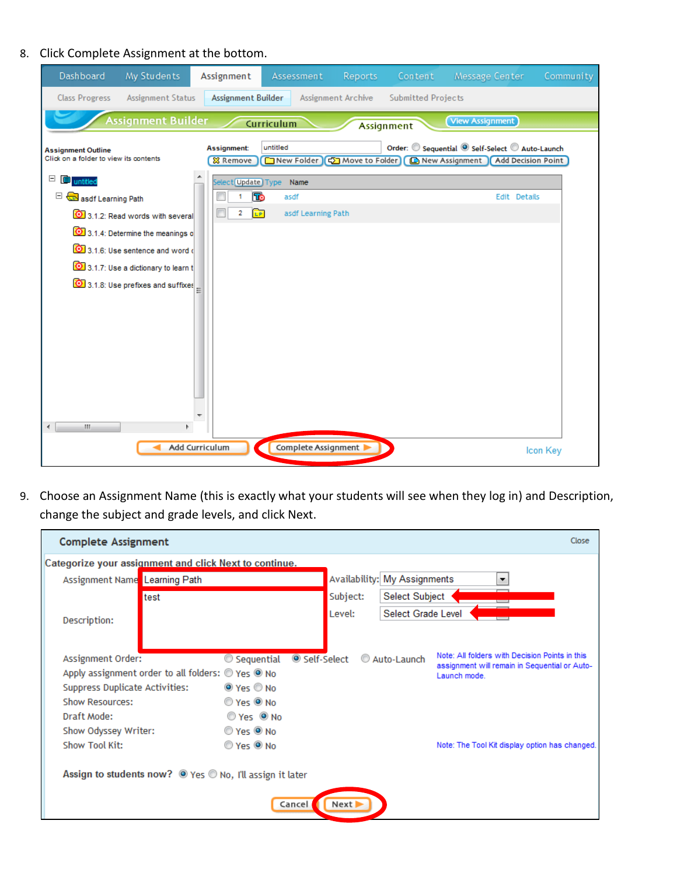## 8. Click Complete Assignment at the bottom.

| Dashboard                                                           | My Students                              | Assignment                      | Assessment                                | <b>Reports</b>     | Content                   | Message Center                                                                                 | Community |
|---------------------------------------------------------------------|------------------------------------------|---------------------------------|-------------------------------------------|--------------------|---------------------------|------------------------------------------------------------------------------------------------|-----------|
| <b>Class Progress</b>                                               | <b>Assignment Status</b>                 | Assignment Builder              |                                           | Assignment Archive | <b>Submitted Projects</b> |                                                                                                |           |
|                                                                     | <b>Assignment Builder</b>                |                                 | Curriculum                                |                    | Assignment                | <b>View Assignment</b>                                                                         |           |
| <b>Assignment Outline</b><br>Click on a folder to view its contents |                                          | Assignment:<br><b>83 Remove</b> | untitled<br>New Folder   C Move to Folder |                    |                           | Order: Sequential <sup>O</sup> Self-Select Auto-Launch<br>New Assignment<br>Add Decision Point |           |
| $\Box$<br><b>E</b> untitled                                         |                                          | Select Update Type              | Name                                      |                    |                           |                                                                                                |           |
| asdf Learning Path                                                  |                                          | <b>To</b>                       | asdf                                      |                    |                           | Edit Details                                                                                   |           |
|                                                                     | 3.1.2: Read words with several           | <b>LP</b><br>2                  | asdf Learning Path                        |                    |                           |                                                                                                |           |
|                                                                     | 3.1.4: Determine the meanings o          |                                 |                                           |                    |                           |                                                                                                |           |
|                                                                     | 3.1.6: Use sentence and word of          |                                 |                                           |                    |                           |                                                                                                |           |
|                                                                     | 3.1.7: Use a dictionary to learn t       |                                 |                                           |                    |                           |                                                                                                |           |
|                                                                     | 3.1.8: Use prefixes and suffixes $\vert$ |                                 |                                           |                    |                           |                                                                                                |           |
|                                                                     |                                          |                                 |                                           |                    |                           |                                                                                                |           |
|                                                                     |                                          |                                 |                                           |                    |                           |                                                                                                |           |
|                                                                     |                                          |                                 |                                           |                    |                           |                                                                                                |           |
|                                                                     |                                          |                                 |                                           |                    |                           |                                                                                                |           |
|                                                                     |                                          |                                 |                                           |                    |                           |                                                                                                |           |
|                                                                     |                                          |                                 |                                           |                    |                           |                                                                                                |           |
|                                                                     |                                          |                                 |                                           |                    |                           |                                                                                                |           |
| $\mathbf{H}$                                                        |                                          |                                 |                                           |                    |                           |                                                                                                |           |
|                                                                     |                                          |                                 |                                           |                    |                           |                                                                                                |           |
|                                                                     |                                          | Add Curriculum                  | Complete Assignment                       |                    |                           |                                                                                                | Icon Key  |

9. Choose an Assignment Name (this is exactly what your students will see when they log in) and Description, change the subject and grade levels, and click Next.

| <b>Complete Assignment</b>                               |                                                   |                                          |          |                              | Close                                                                                           |  |
|----------------------------------------------------------|---------------------------------------------------|------------------------------------------|----------|------------------------------|-------------------------------------------------------------------------------------------------|--|
| Categorize your assignment and click Next to continue.   |                                                   |                                          |          |                              |                                                                                                 |  |
| Assignment Name Learning Path                            |                                                   |                                          |          | Availability: My Assignments |                                                                                                 |  |
|                                                          | test                                              |                                          | Subject: | <b>Select Subject</b>        |                                                                                                 |  |
| Description:                                             |                                                   |                                          | Level:   | Select Grade Level           |                                                                                                 |  |
|                                                          |                                                   |                                          |          |                              |                                                                                                 |  |
|                                                          |                                                   |                                          |          |                              |                                                                                                 |  |
| Assignment Order:                                        |                                                   | $\circledcirc$ Sequential<br>Self-Select |          | Auto-Launch                  | Note: All folders with Decision Points in this<br>assignment will remain in Sequential or Auto- |  |
|                                                          | Apply assignment order to all folders: @ Yes @ No |                                          |          |                              | Launch mode.                                                                                    |  |
| Suppress Duplicate Activities:                           |                                                   | O Yes O No                               |          |                              |                                                                                                 |  |
| Show Resources:                                          |                                                   | Yes ONO                                  |          |                              |                                                                                                 |  |
| Draft Mode:                                              |                                                   | $OYes$ $O$ No                            |          |                              |                                                                                                 |  |
| Show Odyssey Writer:                                     |                                                   | Yes ONo                                  |          |                              |                                                                                                 |  |
| Show Tool Kit:                                           |                                                   | © Yes <sup>◎</sup> No                    |          |                              | Note: The Tool Kit display option has changed.                                                  |  |
|                                                          |                                                   |                                          |          |                              |                                                                                                 |  |
| Assign to students now? O Yes O No, I'll assign it later |                                                   |                                          |          |                              |                                                                                                 |  |
|                                                          |                                                   |                                          |          |                              |                                                                                                 |  |
|                                                          |                                                   | Cancel                                   | Next     |                              |                                                                                                 |  |
|                                                          |                                                   |                                          |          |                              |                                                                                                 |  |